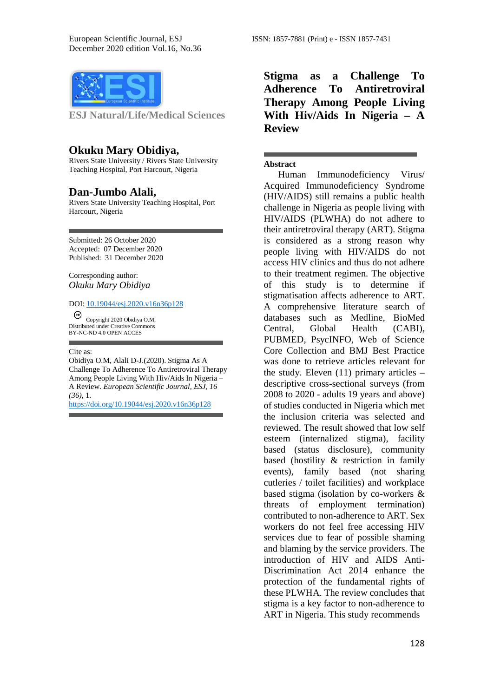

**ESJ Natural/Life/Medical Sciences** 

### **Okuku Mary Obidiya,**

Rivers State University / Rivers State University Teaching Hospital, Port Harcourt, Nigeria

#### **Dan-Jumbo Alali,**

Rivers State University Teaching Hospital, Port Harcourt, Nigeria

Submitted: 26 October 2020 Accepted: 07 December 2020 Published: 31 December 2020

Corresponding author: *Okuku Mary Obidiya*

#### DOI: 10.19044/esj.2020.v16n36p128

Copyright 2020 Obidiya O.M, Distributed under Creative Commons BY-NC-ND 4.0 OPEN ACCES

#### Cite as:

Obidiya O.M, Alali D-J.(2020). Stigma As A Challenge To Adherence To Antiretroviral Therapy Among People Living With Hiv/Aids In Nigeria – A Review. *European Scientific Journal, ESJ, 16 (36)*, 1.

<https://doi.org/10.19044/esj.2020.v16n36p128>

**Stigma as a Challenge To Adherence To Antiretroviral Therapy Among People Living With Hiv/Aids In Nigeria – A Review**

#### **Abstract**

 Human Immunodeficiency Virus/ Acquired Immunodeficiency Syndrome (HIV/AIDS) still remains a public health challenge in Nigeria as people living with HIV/AIDS (PLWHA) do not adhere to their antiretroviral therapy (ART). Stigma is considered as a strong reason why people living with HIV/AIDS do not access HIV clinics and thus do not adhere to their treatment regimen. The objective of this study is to determine if stigmatisation affects adherence to ART. A comprehensive literature search of databases such as Medline, BioMed Central, Global Health (CABI), PUBMED, PsycINFO, Web of Science Core Collection and BMJ Best Practice was done to retrieve articles relevant for the study. Eleven (11) primary articles – descriptive cross-sectional surveys (from 2008 to 2020 - adults 19 years and above) of studies conducted in Nigeria which met the inclusion criteria was selected and reviewed. The result showed that low self esteem (internalized stigma), facility based (status disclosure), community based (hostility & restriction in family events), family based (not sharing cutleries / toilet facilities) and workplace based stigma (isolation by co-workers & threats of employment termination) contributed to non-adherence to ART. Sex workers do not feel free accessing HIV services due to fear of possible shaming and blaming by the service providers. The introduction of HIV and AIDS Anti-Discrimination Act 2014 enhance the protection of the fundamental rights of these PLWHA. The review concludes that stigma is a key factor to non-adherence to ART in Nigeria. This study recommends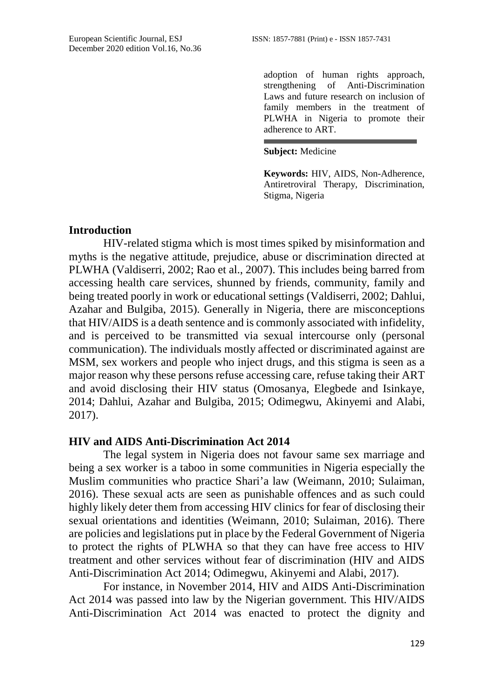adoption of human rights approach, strengthening of Anti-Discrimination Laws and future research on inclusion of family members in the treatment of PLWHA in Nigeria to promote their adherence to ART.

#### **Subject:** Medicine

**Keywords:** HIV, AIDS, Non-Adherence, Antiretroviral Therapy, Discrimination, Stigma, Nigeria

# **Introduction**

HIV-related stigma which is most times spiked by misinformation and myths is the negative attitude, prejudice, abuse or discrimination directed at PLWHA (Valdiserri, 2002; Rao et al., 2007). This includes being barred from accessing health care services, shunned by friends, community, family and being treated poorly in work or educational settings (Valdiserri, 2002; Dahlui, Azahar and Bulgiba, 2015). Generally in Nigeria, there are misconceptions that HIV/AIDS is a death sentence and is commonly associated with infidelity, and is perceived to be transmitted via sexual intercourse only (personal communication). The individuals mostly affected or discriminated against are MSM, sex workers and people who inject drugs, and this stigma is seen as a major reason why these persons refuse accessing care, refuse taking their ART and avoid disclosing their HIV status (Omosanya, Elegbede and Isinkaye, 2014; Dahlui, Azahar and Bulgiba, 2015; Odimegwu, Akinyemi and Alabi, 2017).

# **HIV and AIDS Anti-Discrimination Act 2014**

The legal system in Nigeria does not favour same sex marriage and being a sex worker is a taboo in some communities in Nigeria especially the Muslim communities who practice Shari'a law (Weimann, 2010; Sulaiman, 2016). These sexual acts are seen as punishable offences and as such could highly likely deter them from accessing HIV clinics for fear of disclosing their sexual orientations and identities (Weimann, 2010; Sulaiman, 2016). There are policies and legislations put in place by the Federal Government of Nigeria to protect the rights of PLWHA so that they can have free access to HIV treatment and other services without fear of discrimination (HIV and AIDS Anti-Discrimination Act 2014; Odimegwu, Akinyemi and Alabi, 2017).

For instance, in November 2014, HIV and AIDS Anti-Discrimination Act 2014 was passed into law by the Nigerian government. This HIV/AIDS Anti-Discrimination Act 2014 was enacted to protect the dignity and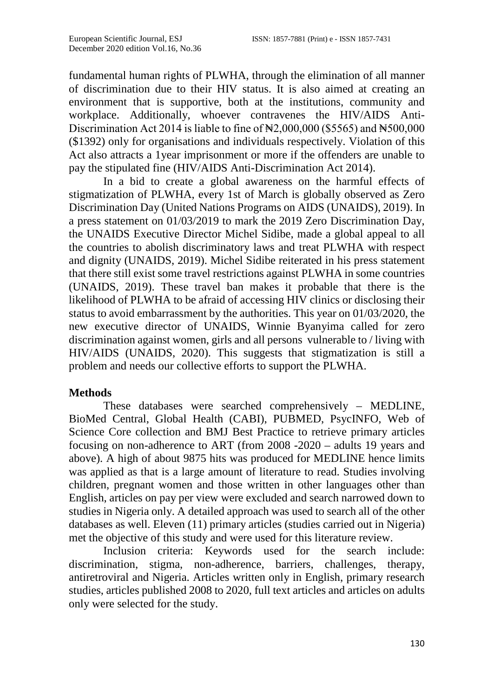fundamental human rights of PLWHA, through the elimination of all manner of discrimination due to their HIV status. It is also aimed at creating an environment that is supportive, both at the institutions, community and workplace. Additionally, whoever contravenes the HIV/AIDS Anti-Discrimination Act 2014 is liable to fine of  $\mathbb{N}2,000,000$  (\$5565) and  $\mathbb{N}500,000$ (\$1392) only for organisations and individuals respectively. Violation of this Act also attracts a 1year imprisonment or more if the offenders are unable to pay the stipulated fine (HIV/AIDS Anti-Discrimination Act 2014).

In a bid to create a global awareness on the harmful effects of stigmatization of PLWHA, every 1st of March is globally observed as Zero Discrimination Day (United Nations Programs on AIDS (UNAIDS), 2019). In a press statement on 01/03/2019 to mark the 2019 Zero Discrimination Day, the UNAIDS Executive Director Michel Sidibe, made a global appeal to all the countries to abolish discriminatory laws and treat PLWHA with respect and dignity (UNAIDS, 2019). Michel Sidibe reiterated in his press statement that there still exist some travel restrictions against PLWHA in some countries (UNAIDS, 2019). These travel ban makes it probable that there is the likelihood of PLWHA to be afraid of accessing HIV clinics or disclosing their status to avoid embarrassment by the authorities. This year on 01/03/2020, the new executive director of UNAIDS, Winnie Byanyima called for zero discrimination against women, girls and all persons vulnerable to / living with HIV/AIDS (UNAIDS, 2020). This suggests that stigmatization is still a problem and needs our collective efforts to support the PLWHA.

# **Methods**

These databases were searched comprehensively – MEDLINE, BioMed Central, Global Health (CABI), PUBMED, PsycINFO, Web of Science Core collection and BMJ Best Practice to retrieve primary articles focusing on non-adherence to ART (from 2008 -2020 – adults 19 years and above). A high of about 9875 hits was produced for MEDLINE hence limits was applied as that is a large amount of literature to read. Studies involving children, pregnant women and those written in other languages other than English, articles on pay per view were excluded and search narrowed down to studies in Nigeria only. A detailed approach was used to search all of the other databases as well. Eleven (11) primary articles (studies carried out in Nigeria) met the objective of this study and were used for this literature review.

Inclusion criteria: Keywords used for the search include: discrimination, stigma, non-adherence, barriers, challenges, therapy, antiretroviral and Nigeria. Articles written only in English, primary research studies, articles published 2008 to 2020, full text articles and articles on adults only were selected for the study.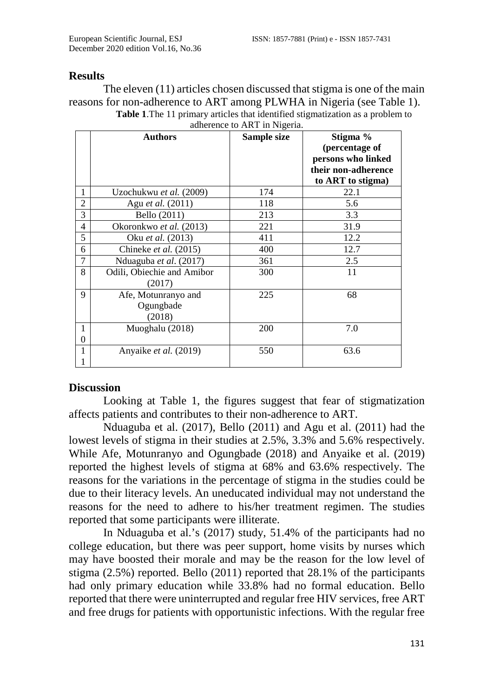## **Results**

The eleven (11) articles chosen discussed that stigma is one of the main reasons for non-adherence to ART among PLWHA in Nigeria (see Table 1). **Table 1**.The 11 primary articles that identified stigmatization as a problem to

|                | <b>Authors</b>                             | Sample size | Stigma %<br>(percentage of<br>persons who linked<br>their non-adherence<br>to ART to stigma) |
|----------------|--------------------------------------------|-------------|----------------------------------------------------------------------------------------------|
| 1              | Uzochukwu et al. (2009)                    | 174         | 22.1                                                                                         |
| $\overline{c}$ | Agu et al. (2011)                          | 118         | 5.6                                                                                          |
| 3              | Bello (2011)                               | 213         | 3.3                                                                                          |
| 4              | Okoronkwo et al. (2013)                    | 221         | 31.9                                                                                         |
| 5              | Oku <i>et al.</i> (2013)                   | 411         | 12.2                                                                                         |
| 6              | Chineke <i>et al.</i> (2015)               | 400         | 12.7                                                                                         |
| 7              | Nduaguba et al. (2017)                     | 361         | 2.5                                                                                          |
| 8              | Odili, Obiechie and Amibor<br>(2017)       | 300         | 11                                                                                           |
| 9              | Afe, Motunranyo and<br>Ogungbade<br>(2018) | 225         | 68                                                                                           |
| 1<br>0         | Muoghalu (2018)                            | 200         | 7.0                                                                                          |
| 1              | Anyaike <i>et al.</i> (2019)               | 550         | 63.6                                                                                         |

adherence to ART in Nigeria.

## **Discussion**

Looking at Table 1, the figures suggest that fear of stigmatization affects patients and contributes to their non-adherence to ART.

Nduaguba et al. (2017), Bello (2011) and Agu et al. (2011) had the lowest levels of stigma in their studies at 2.5%, 3.3% and 5.6% respectively. While Afe, Motunranyo and Ogungbade (2018) and Anyaike et al. (2019) reported the highest levels of stigma at 68% and 63.6% respectively. The reasons for the variations in the percentage of stigma in the studies could be due to their literacy levels. An uneducated individual may not understand the reasons for the need to adhere to his/her treatment regimen. The studies reported that some participants were illiterate.

In Nduaguba et al.'s (2017) study, 51.4% of the participants had no college education, but there was peer support, home visits by nurses which may have boosted their morale and may be the reason for the low level of stigma (2.5%) reported. Bello (2011) reported that 28.1% of the participants had only primary education while 33.8% had no formal education. Bello reported that there were uninterrupted and regular free HIV services, free ART and free drugs for patients with opportunistic infections. With the regular free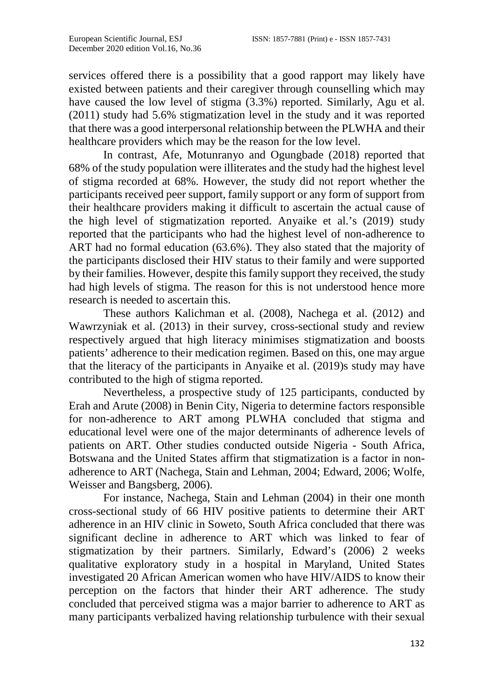services offered there is a possibility that a good rapport may likely have existed between patients and their caregiver through counselling which may have caused the low level of stigma (3.3%) reported. Similarly, Agu et al. (2011) study had 5.6% stigmatization level in the study and it was reported that there was a good interpersonal relationship between the PLWHA and their healthcare providers which may be the reason for the low level.

In contrast, Afe, Motunranyo and Ogungbade (2018) reported that 68% of the study population were illiterates and the study had the highest level of stigma recorded at 68%. However, the study did not report whether the participants received peer support, family support or any form of support from their healthcare providers making it difficult to ascertain the actual cause of the high level of stigmatization reported. Anyaike et al.'s (2019) study reported that the participants who had the highest level of non-adherence to ART had no formal education (63.6%). They also stated that the majority of the participants disclosed their HIV status to their family and were supported by their families. However, despite this family support they received, the study had high levels of stigma. The reason for this is not understood hence more research is needed to ascertain this.

These authors Kalichman et al. (2008), Nachega et al. (2012) and Wawrzyniak et al. (2013) in their survey, cross-sectional study and review respectively argued that high literacy minimises stigmatization and boosts patients' adherence to their medication regimen. Based on this, one may argue that the literacy of the participants in Anyaike et al. (2019)s study may have contributed to the high of stigma reported.

Nevertheless, a prospective study of 125 participants, conducted by Erah and Arute (2008) in Benin City, Nigeria to determine factors responsible for non-adherence to ART among PLWHA concluded that stigma and educational level were one of the major determinants of adherence levels of patients on ART. Other studies conducted outside Nigeria - South Africa, Botswana and the United States affirm that stigmatization is a factor in nonadherence to ART (Nachega, Stain and Lehman, 2004; Edward, 2006; Wolfe, Weisser and Bangsberg, 2006).

For instance, Nachega, Stain and Lehman (2004) in their one month cross-sectional study of 66 HIV positive patients to determine their ART adherence in an HIV clinic in Soweto, South Africa concluded that there was significant decline in adherence to ART which was linked to fear of stigmatization by their partners. Similarly, Edward's (2006) 2 weeks qualitative exploratory study in a hospital in Maryland, United States investigated 20 African American women who have HIV/AIDS to know their perception on the factors that hinder their ART adherence. The study concluded that perceived stigma was a major barrier to adherence to ART as many participants verbalized having relationship turbulence with their sexual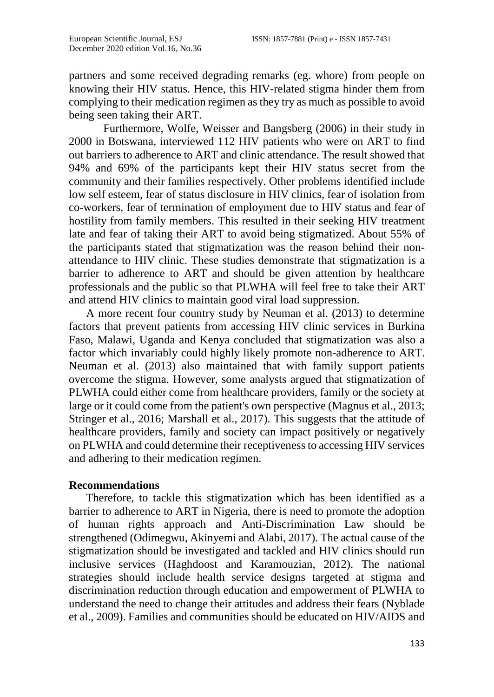partners and some received degrading remarks (eg. whore) from people on knowing their HIV status. Hence, this HIV-related stigma hinder them from complying to their medication regimen as they try as much as possible to avoid being seen taking their ART.

Furthermore, Wolfe, Weisser and Bangsberg (2006) in their study in 2000 in Botswana, interviewed 112 HIV patients who were on ART to find out barriers to adherence to ART and clinic attendance. The result showed that 94% and 69% of the participants kept their HIV status secret from the community and their families respectively. Other problems identified include low self esteem, fear of status disclosure in HIV clinics, fear of isolation from co-workers, fear of termination of employment due to HIV status and fear of hostility from family members. This resulted in their seeking HIV treatment late and fear of taking their ART to avoid being stigmatized. About 55% of the participants stated that stigmatization was the reason behind their nonattendance to HIV clinic. These studies demonstrate that stigmatization is a barrier to adherence to ART and should be given attention by healthcare professionals and the public so that PLWHA will feel free to take their ART and attend HIV clinics to maintain good viral load suppression.

A more recent four country study by Neuman et al. (2013) to determine factors that prevent patients from accessing HIV clinic services in Burkina Faso, Malawi, Uganda and Kenya concluded that stigmatization was also a factor which invariably could highly likely promote non-adherence to ART. Neuman et al. (2013) also maintained that with family support patients overcome the stigma. However, some analysts argued that stigmatization of PLWHA could either come from healthcare providers, family or the society at large or it could come from the patient's own perspective (Magnus et al., 2013; Stringer et al., 2016; Marshall et al., 2017). This suggests that the attitude of healthcare providers, family and society can impact positively or negatively on PLWHA and could determine their receptiveness to accessing HIV services and adhering to their medication regimen.

## **Recommendations**

Therefore, to tackle this stigmatization which has been identified as a barrier to adherence to ART in Nigeria, there is need to promote the adoption of human rights approach and Anti-Discrimination Law should be strengthened (Odimegwu, Akinyemi and Alabi, 2017). The actual cause of the stigmatization should be investigated and tackled and HIV clinics should run inclusive services (Haghdoost and Karamouzian, 2012). The national strategies should include health service designs targeted at stigma and discrimination reduction through education and empowerment of PLWHA to understand the need to change their attitudes and address their fears (Nyblade et al., 2009). Families and communities should be educated on HIV/AIDS and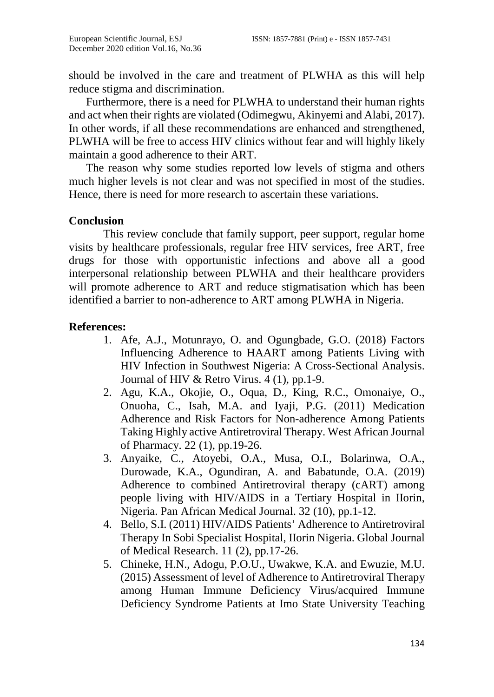should be involved in the care and treatment of PLWHA as this will help reduce stigma and discrimination.

Furthermore, there is a need for PLWHA to understand their human rights and act when their rights are violated (Odimegwu, Akinyemi and Alabi, 2017). In other words, if all these recommendations are enhanced and strengthened, PLWHA will be free to access HIV clinics without fear and will highly likely maintain a good adherence to their ART.

The reason why some studies reported low levels of stigma and others much higher levels is not clear and was not specified in most of the studies. Hence, there is need for more research to ascertain these variations.

# **Conclusion**

This review conclude that family support, peer support, regular home visits by healthcare professionals, regular free HIV services, free ART, free drugs for those with opportunistic infections and above all a good interpersonal relationship between PLWHA and their healthcare providers will promote adherence to ART and reduce stigmatisation which has been identified a barrier to non-adherence to ART among PLWHA in Nigeria.

# **References:**

- 1. Afe, A.J., Motunrayo, O. and Ogungbade, G.O. (2018) Factors Influencing Adherence to HAART among Patients Living with HIV Infection in Southwest Nigeria: A Cross-Sectional Analysis. Journal of HIV & Retro Virus. 4 (1), pp.1-9.
- 2. Agu, K.A., Okojie, O., Oqua, D., King, R.C., Omonaiye, O., Onuoha, C., Isah, M.A. and Iyaji, P.G. (2011) Medication Adherence and Risk Factors for Non-adherence Among Patients Taking Highly active Antiretroviral Therapy. West African Journal of Pharmacy. 22 (1), pp.19-26.
- 3. Anyaike, C., Atoyebi, O.A., Musa, O.I., Bolarinwa, O.A., Durowade, K.A., Ogundiran, A. and Babatunde, O.A. (2019) Adherence to combined Antiretroviral therapy (cART) among people living with HIV/AIDS in a Tertiary Hospital in IIorin, Nigeria. Pan African Medical Journal. 32 (10), pp.1-12.
- 4. Bello, S.I. (2011) HIV/AIDS Patients' Adherence to Antiretroviral Therapy In Sobi Specialist Hospital, IIorin Nigeria. Global Journal of Medical Research. 11 (2), pp.17-26.
- 5. Chineke, H.N., Adogu, P.O.U., Uwakwe, K.A. and Ewuzie, M.U. (2015) Assessment of level of Adherence to Antiretroviral Therapy among Human Immune Deficiency Virus/acquired Immune Deficiency Syndrome Patients at Imo State University Teaching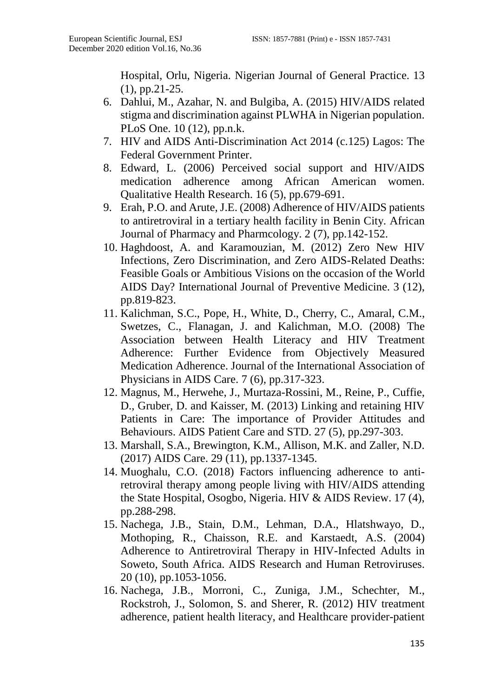Hospital, Orlu, Nigeria. Nigerian Journal of General Practice. 13 (1), pp.21-25.

- 6. Dahlui, M., Azahar, N. and Bulgiba, A. (2015) HIV/AIDS related stigma and discrimination against PLWHA in Nigerian population. PLoS One. 10 (12), pp.n.k.
- 7. HIV and AIDS Anti-Discrimination Act 2014 (c.125) Lagos: The Federal Government Printer.
- 8. Edward, L. (2006) Perceived social support and HIV/AIDS medication adherence among African American women. Qualitative Health Research. 16 (5), pp.679-691.
- 9. Erah, P.O. and Arute, J.E. (2008) Adherence of HIV/AIDS patients to antiretroviral in a tertiary health facility in Benin City. African Journal of Pharmacy and Pharmcology. 2 (7), pp.142-152.
- 10. Haghdoost, A. and Karamouzian, M. (2012) Zero New HIV Infections, Zero Discrimination, and Zero AIDS-Related Deaths: Feasible Goals or Ambitious Visions on the occasion of the World AIDS Day? International Journal of Preventive Medicine. 3 (12), pp.819-823.
- 11. Kalichman, S.C., Pope, H., White, D., Cherry, C., Amaral, C.M., Swetzes, C., Flanagan, J. and Kalichman, M.O. (2008) The Association between Health Literacy and HIV Treatment Adherence: Further Evidence from Objectively Measured Medication Adherence. Journal of the International Association of Physicians in AIDS Care. 7 (6), pp.317-323.
- 12. Magnus, M., Herwehe, J., Murtaza-Rossini, M., Reine, P., Cuffie, D., Gruber, D. and Kaisser, M. (2013) Linking and retaining HIV Patients in Care: The importance of Provider Attitudes and Behaviours. AIDS Patient Care and STD. 27 (5), pp.297-303.
- 13. Marshall, S.A., Brewington, K.M., Allison, M.K. and Zaller, N.D. (2017) AIDS Care. 29 (11), pp.1337-1345.
- 14. Muoghalu, C.O. (2018) Factors influencing adherence to antiretroviral therapy among people living with HIV/AIDS attending the State Hospital, Osogbo, Nigeria. HIV & AIDS Review. 17 (4), pp.288-298.
- 15. Nachega, J.B., Stain, D.M., Lehman, D.A., Hlatshwayo, D., Mothoping, R., Chaisson, R.E. and Karstaedt, A.S. (2004) Adherence to Antiretroviral Therapy in HIV-Infected Adults in Soweto, South Africa. AIDS Research and Human Retroviruses. 20 (10), pp.1053-1056.
- 16. Nachega, J.B., Morroni, C., Zuniga, J.M., Schechter, M., Rockstroh, J., Solomon, S. and Sherer, R. (2012) HIV treatment adherence, patient health literacy, and Healthcare provider-patient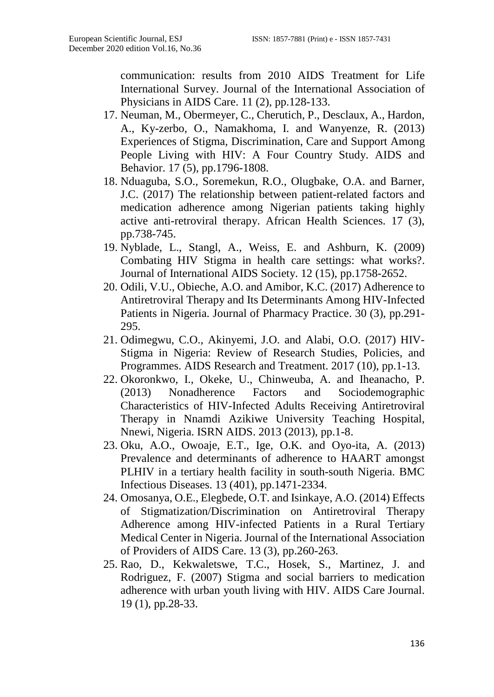communication: results from 2010 AIDS Treatment for Life International Survey. Journal of the International Association of Physicians in AIDS Care. 11 (2), pp.128-133.

- 17. Neuman, M., Obermeyer, C., Cherutich, P., Desclaux, A., Hardon, A., Ky-zerbo, O., Namakhoma, I. and Wanyenze, R. (2013) Experiences of Stigma, Discrimination, Care and Support Among People Living with HIV: A Four Country Study. AIDS and Behavior. 17 (5), pp.1796-1808.
- 18. Nduaguba, S.O., Soremekun, R.O., Olugbake, O.A. and Barner, J.C. (2017) The relationship between patient-related factors and medication adherence among Nigerian patients taking highly active anti-retroviral therapy. African Health Sciences. 17 (3), pp.738-745.
- 19. Nyblade, L., Stangl, A., Weiss, E. and Ashburn, K. (2009) Combating HIV Stigma in health care settings: what works?. Journal of International AIDS Society. 12 (15), pp.1758-2652.
- 20. Odili, V.U., Obieche, A.O. and Amibor, K.C. (2017) Adherence to Antiretroviral Therapy and Its Determinants Among HIV-Infected Patients in Nigeria. Journal of Pharmacy Practice. 30 (3), pp.291- 295.
- 21. Odimegwu, C.O., Akinyemi, J.O. and Alabi, O.O. (2017) HIV-Stigma in Nigeria: Review of Research Studies, Policies, and Programmes. AIDS Research and Treatment. 2017 (10), pp.1-13.
- 22. Okoronkwo, I., Okeke, U., Chinweuba, A. and Iheanacho, P. (2013) Nonadherence Factors and Sociodemographic Characteristics of HIV-Infected Adults Receiving Antiretroviral Therapy in Nnamdi Azikiwe University Teaching Hospital, Nnewi, Nigeria. ISRN AIDS. 2013 (2013), pp.1-8.
- 23. Oku, A.O., Owoaje, E.T., Ige, O.K. and Oyo-ita, A. (2013) Prevalence and determinants of adherence to HAART amongst PLHIV in a tertiary health facility in south-south Nigeria. BMC Infectious Diseases. 13 (401), pp.1471-2334.
- 24. Omosanya, O.E., Elegbede, O.T. and Isinkaye, A.O. (2014) Effects of Stigmatization/Discrimination on Antiretroviral Therapy Adherence among HIV-infected Patients in a Rural Tertiary Medical Center in Nigeria. Journal of the International Association of Providers of AIDS Care. 13 (3), pp.260-263.
- 25. Rao, D., Kekwaletswe, T.C., Hosek, S., Martinez, J. and Rodriguez, F. (2007) Stigma and social barriers to medication adherence with urban youth living with HIV. AIDS Care Journal. 19 (1), pp.28-33.